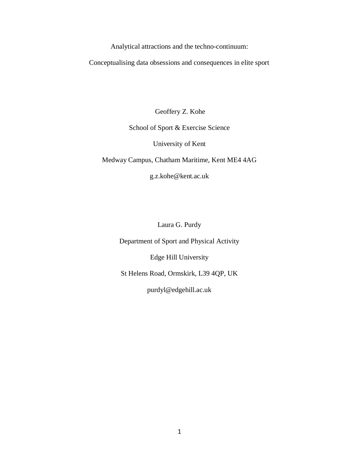Analytical attractions and the techno-continuum:

Conceptualising data obsessions and consequences in elite sport

Geoffery Z. Kohe

# School of Sport & Exercise Science

University of Kent

Medway Campus, Chatham Maritime, Kent ME4 4AG

g.z.kohe@kent.ac.uk

Laura G. Purdy

Department of Sport and Physical Activity

Edge Hill University

St Helens Road, Ormskirk, L39 4QP, UK

purdyl@edgehill.ac.uk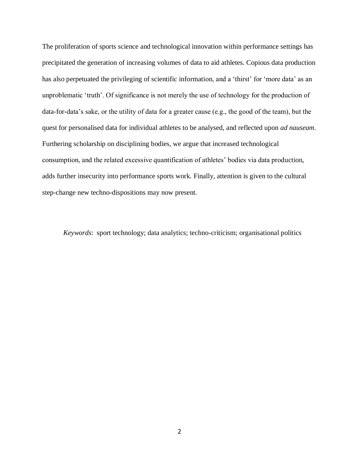The proliferation of sports science and technological innovation within performance settings has precipitated the generation of increasing volumes of data to aid athletes. Copious data production has also perpetuated the privileging of scientific information, and a 'thirst' for 'more data' as an unproblematic 'truth'. Of significance is not merely the use of technology for the production of data-for-data's sake, or the utility of data for a greater cause (e.g., the good of the team), but the quest for personalised data for individual athletes to be analysed, and reflected upon *ad nauseam*. Furthering scholarship on disciplining bodies, we argue that increased technological consumption, and the related excessive quantification of athletes' bodies via data production, adds further insecurity into performance sports work. Finally, attention is given to the cultural step-change new techno-dispositions may now present.

*Keywords*: sport technology; data analytics; techno-criticism; organisational politics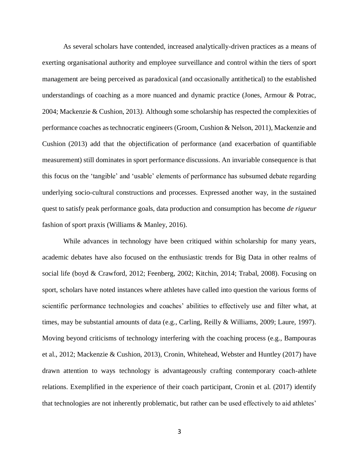As several scholars have contended, increased analytically-driven practices as a means of exerting organisational authority and employee surveillance and control within the tiers of sport management are being perceived as paradoxical (and occasionally antithetical) to the established understandings of coaching as a more nuanced and dynamic practice (Jones, Armour & Potrac, 2004; Mackenzie & Cushion, 2013*).* Although some scholarship has respected the complexities of performance coaches as technocratic engineers (Groom, Cushion & Nelson, 2011), Mackenzie and Cushion (2013) add that the objectification of performance (and exacerbation of quantifiable measurement) still dominates in sport performance discussions. An invariable consequence is that this focus on the 'tangible' and 'usable' elements of performance has subsumed debate regarding underlying socio-cultural constructions and processes. Expressed another way, in the sustained quest to satisfy peak performance goals, data production and consumption has become *de rigueur* fashion of sport praxis (Williams & Manley, 2016).

While advances in technology have been critiqued within scholarship for many years, academic debates have also focused on the enthusiastic trends for Big Data in other realms of social life (boyd & Crawford, 2012; Feenberg, 2002; Kitchin, 2014; Trabal, 2008). Focusing on sport, scholars have noted instances where athletes have called into question the various forms of scientific performance technologies and coaches' abilities to effectively use and filter what, at times, may be substantial amounts of data (e.g., Carling, Reilly & Williams, 2009; Laure, 1997). Moving beyond criticisms of technology interfering with the coaching process (e.g., Bampouras et al., 2012; Mackenzie & Cushion, 2013), Cronin, Whitehead, Webster and Huntley (2017) have drawn attention to ways technology is advantageously crafting contemporary coach-athlete relations. Exemplified in the experience of their coach participant, Cronin et al. (2017) identify that technologies are not inherently problematic, but rather can be used effectively to aid athletes'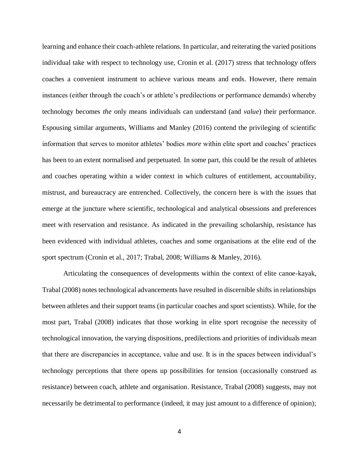learning and enhance their coach-athlete relations. In particular, and reiterating the varied positions individual take with respect to technology use, Cronin et al. (2017) stress that technology offers coaches a convenient instrument to achieve various means and ends. However, there remain instances (either through the coach's or athlete's predilections or performance demands) whereby technology becomes *the* only means individuals can understand (and *value*) their performance. Espousing similar arguments, Williams and Manley (2016) contend the privileging of scientific information that serves to monitor athletes' bodies *more* within elite sport and coaches' practices has been to an extent normalised and perpetuated. In some part, this could be the result of athletes and coaches operating within a wider context in which cultures of entitlement, accountability, mistrust, and bureaucracy are entrenched. Collectively, the concern here is with the issues that emerge at the juncture where scientific, technological and analytical obsessions and preferences meet with reservation and resistance. As indicated in the prevailing scholarship, resistance has been evidenced with individual athletes, coaches and some organisations at the elite end of the sport spectrum (Cronin et al., 2017; Trabal, 2008; Williams & Manley, 2016).

Articulating the consequences of developments within the context of elite canoe-kayak, Trabal (2008) notes technological advancements have resulted in discernible shifts in relationships between athletes and their support teams (in particular coaches and sport scientists). While, for the most part, Trabal (2008) indicates that those working in elite sport recognise the necessity of technological innovation, the varying dispositions, predilections and priorities of individuals mean that there are discrepancies in acceptance, value and use. It is in the spaces between individual's technology perceptions that there opens up possibilities for tension (occasionally construed as resistance) between coach, athlete and organisation. Resistance, Trabal (2008) suggests, may not necessarily be detrimental to performance (indeed, it may just amount to a difference of opinion);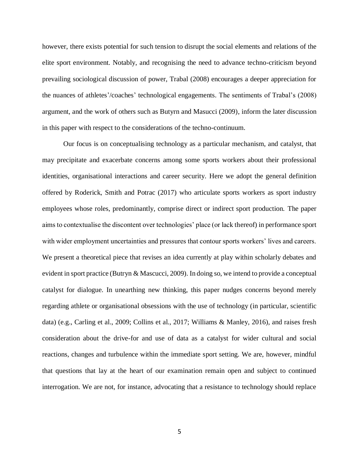however, there exists potential for such tension to disrupt the social elements and relations of the elite sport environment. Notably, and recognising the need to advance techno-criticism beyond prevailing sociological discussion of power, Trabal (2008) encourages a deeper appreciation for the nuances of athletes'/coaches' technological engagements. The sentiments of Trabal's (2008) argument, and the work of others such as Butyrn and Masucci (2009), inform the later discussion in this paper with respect to the considerations of the techno-continuum.

Our focus is on conceptualising technology as a particular mechanism, and catalyst, that may precipitate and exacerbate concerns among some sports workers about their professional identities, organisational interactions and career security. Here we adopt the general definition offered by Roderick, Smith and Potrac (2017) who articulate sports workers as sport industry employees whose roles, predominantly, comprise direct or indirect sport production. The paper aims to contextualise the discontent over technologies' place (or lack thereof) in performance sport with wider employment uncertainties and pressures that contour sports workers' lives and careers. We present a theoretical piece that revises an idea currently at play within scholarly debates and evident in sport practice (Butryn & Mascucci, 2009). In doing so, we intend to provide a conceptual catalyst for dialogue. In unearthing new thinking, this paper nudges concerns beyond merely regarding athlete or organisational obsessions with the use of technology (in particular, scientific data) (e.g., Carling et al., 2009; Collins et al., 2017; Williams & Manley, 2016), and raises fresh consideration about the drive-for and use of data as a catalyst for wider cultural and social reactions, changes and turbulence within the immediate sport setting. We are, however, mindful that questions that lay at the heart of our examination remain open and subject to continued interrogation. We are not, for instance, advocating that a resistance to technology should replace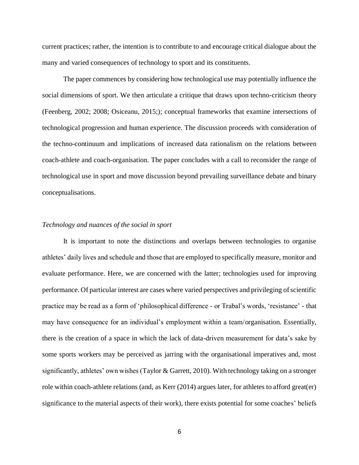current practices; rather, the intention is to contribute to and encourage critical dialogue about the many and varied consequences of technology to sport and its constituents.

The paper commences by considering how technological use may potentially influence the social dimensions of sport. We then articulate a critique that draws upon techno-criticism theory (Feenberg, 2002; 2008; Osiceanu, 2015;); conceptual frameworks that examine intersections of technological progression and human experience. The discussion proceeds with consideration of the techno-continuum and implications of increased data rationalism on the relations between coach-athlete and coach-organisation. The paper concludes with a call to reconsider the range of technological use in sport and move discussion beyond prevailing surveillance debate and binary conceptualisations.

#### *Technology and nuances of the social in sport*

It is important to note the distinctions and overlaps between technologies to organise athletes' daily lives and schedule and those that are employed to specifically measure, monitor and evaluate performance. Here, we are concerned with the latter; technologies used for improving performance. Of particular interest are cases where varied perspectives and privileging of scientific practice may be read as a form of 'philosophical difference - or Trabal's words, 'resistance' - that may have consequence for an individual's employment within a team/organisation. Essentially, there is the creation of a space in which the lack of data-driven measurement for data's sake by some sports workers may be perceived as jarring with the organisational imperatives and, most significantly, athletes' own wishes (Taylor & Garrett, 2010). With technology taking on a stronger role within coach-athlete relations (and, as Kerr (2014) argues later, for athletes to afford great(er) significance to the material aspects of their work), there exists potential for some coaches' beliefs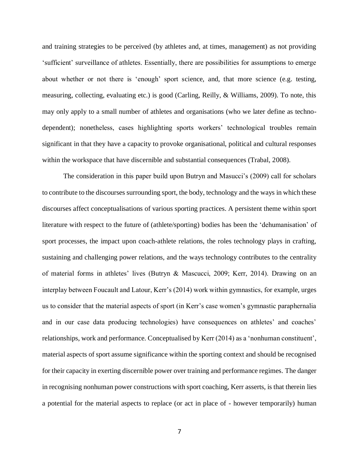and training strategies to be perceived (by athletes and, at times, management) as not providing 'sufficient' surveillance of athletes. Essentially, there are possibilities for assumptions to emerge about whether or not there is 'enough' sport science, and, that more science (e.g. testing, measuring, collecting, evaluating etc.) is good (Carling, Reilly, & Williams, 2009). To note, this may only apply to a small number of athletes and organisations (who we later define as technodependent); nonetheless, cases highlighting sports workers' technological troubles remain significant in that they have a capacity to provoke organisational, political and cultural responses within the workspace that have discernible and substantial consequences (Trabal, 2008).

The consideration in this paper build upon Butryn and Masucci's (2009) call for scholars to contribute to the discourses surrounding sport, the body, technology and the ways in which these discourses affect conceptualisations of various sporting practices. A persistent theme within sport literature with respect to the future of (athlete/sporting) bodies has been the 'dehumanisation' of sport processes, the impact upon coach-athlete relations, the roles technology plays in crafting, sustaining and challenging power relations, and the ways technology contributes to the centrality of material forms in athletes' lives (Butryn & Mascucci, 2009; Kerr, 2014). Drawing on an interplay between Foucault and Latour, Kerr's (2014) work within gymnastics, for example, urges us to consider that the material aspects of sport (in Kerr's case women's gymnastic paraphernalia and in our case data producing technologies) have consequences on athletes' and coaches' relationships, work and performance. Conceptualised by Kerr (2014) as a 'nonhuman constituent', material aspects of sport assume significance within the sporting context and should be recognised for their capacity in exerting discernible power over training and performance regimes. The danger in recognising nonhuman power constructions with sport coaching, Kerr asserts, is that therein lies a potential for the material aspects to replace (or act in place of - however temporarily) human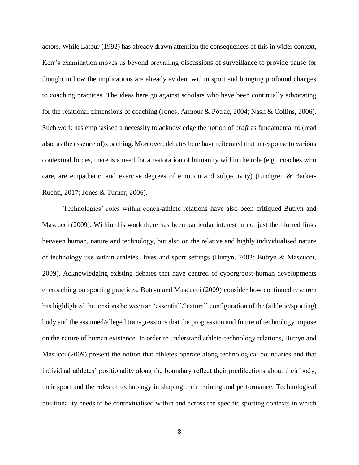actors. While Latour (1992) has already drawn attention the consequences of this in wider context, Kerr's examination moves us beyond prevailing discussions of surveillance to provide pause for thought in how the implications are already evident within sport and bringing profound changes to coaching practices. The ideas here go against scholars who have been continually advocating for the relational dimensions of coaching (Jones, Armour & Potrac, 2004; Nash & Collins, 2006). Such work has emphasised a necessity to acknowledge the notion of *craft* as fundamental to (read also, as the essence of) coaching. Moreover, debates here have reiterated that in response to various contextual forces, there is a need for a restoration of humanity within the role (e.g., coaches who care, are empathetic, and exercise degrees of emotion and subjectivity) (Lindgren & Barker-Ruchti, 2017; Jones & Turner, 2006).

Technologies' roles within coach-athlete relations have also been critiqued Butryn and Mascucci (2009). Within this work there has been particular interest in not just the blurred links between human, nature and technology, but also on the relative and highly individualised nature of technology use within athletes' lives and sport settings (Butryn, 2003; Butryn & Mascucci, 2009). Acknowledging existing debates that have centred of cyborg/post-human developments encroaching on sporting practices, Butryn and Mascucci (2009) consider how continued research has highlighted the tensions between an 'essential'/'natural' configuration of the (athletic/sporting) body and the assumed/alleged transgressions that the progression and future of technology impose on the nature of human existence. In order to understand athlete-technology relations, Butryn and Masucci (2009) present the notion that athletes operate along technological boundaries and that individual athletes' positionality along the boundary reflect their predilections about their body, their sport and the roles of technology in shaping their training and performance. Technological positionality needs to be contextualised within and across the specific sporting contexts in which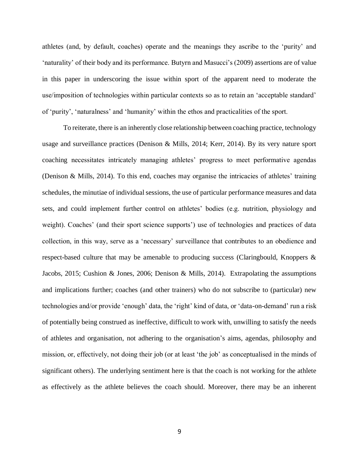athletes (and, by default, coaches) operate and the meanings they ascribe to the 'purity' and 'naturality' of their body and its performance. Butyrn and Masucci's (2009) assertions are of value in this paper in underscoring the issue within sport of the apparent need to moderate the use/imposition of technologies within particular contexts so as to retain an 'acceptable standard' of 'purity', 'naturalness' and 'humanity' within the ethos and practicalities of the sport.

To reiterate, there is an inherently close relationship between coaching practice, technology usage and surveillance practices (Denison & Mills, 2014; Kerr, 2014). By its very nature sport coaching necessitates intricately managing athletes' progress to meet performative agendas (Denison & Mills, 2014). To this end, coaches may organise the intricacies of athletes' training schedules, the minutiae of individual sessions, the use of particular performance measures and data sets, and could implement further control on athletes' bodies (e.g. nutrition, physiology and weight). Coaches' (and their sport science supports') use of technologies and practices of data collection, in this way, serve as a 'necessary' surveillance that contributes to an obedience and respect-based culture that may be amenable to producing success (Claringbould, Knoppers & Jacobs, 2015; Cushion & Jones, 2006; Denison & Mills, 2014). Extrapolating the assumptions and implications further; coaches (and other trainers) who do not subscribe to (particular) new technologies and/or provide 'enough' data, the 'right' kind of data, or 'data-on-demand' run a risk of potentially being construed as ineffective, difficult to work with, unwilling to satisfy the needs of athletes and organisation, not adhering to the organisation's aims, agendas, philosophy and mission, or, effectively, not doing their job (or at least 'the job' as conceptualised in the minds of significant others). The underlying sentiment here is that the coach is not working for the athlete as effectively as the athlete believes the coach should. Moreover, there may be an inherent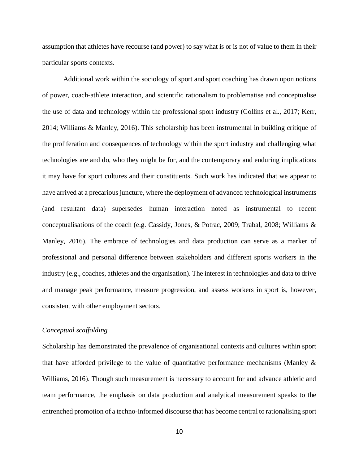assumption that athletes have recourse (and power) to say what is or is not of value to them in their particular sports contexts.

Additional work within the sociology of sport and sport coaching has drawn upon notions of power, coach-athlete interaction, and scientific rationalism to problematise and conceptualise the use of data and technology within the professional sport industry (Collins et al., 2017; Kerr, 2014; Williams & Manley, 2016). This scholarship has been instrumental in building critique of the proliferation and consequences of technology within the sport industry and challenging what technologies are and do, who they might be for, and the contemporary and enduring implications it may have for sport cultures and their constituents. Such work has indicated that we appear to have arrived at a precarious juncture, where the deployment of advanced technological instruments (and resultant data) supersedes human interaction noted as instrumental to recent conceptualisations of the coach (e.g. Cassidy, Jones, & Potrac, 2009; Trabal, 2008; Williams & Manley, 2016). The embrace of technologies and data production can serve as a marker of professional and personal difference between stakeholders and different sports workers in the industry (e.g., coaches, athletes and the organisation). The interest in technologies and data to drive and manage peak performance, measure progression, and assess workers in sport is, however, consistent with other employment sectors.

## *Conceptual scaffolding*

Scholarship has demonstrated the prevalence of organisational contexts and cultures within sport that have afforded privilege to the value of quantitative performance mechanisms (Manley  $\&$ Williams, 2016). Though such measurement is necessary to account for and advance athletic and team performance, the emphasis on data production and analytical measurement speaks to the entrenched promotion of a techno-informed discourse that has become central to rationalising sport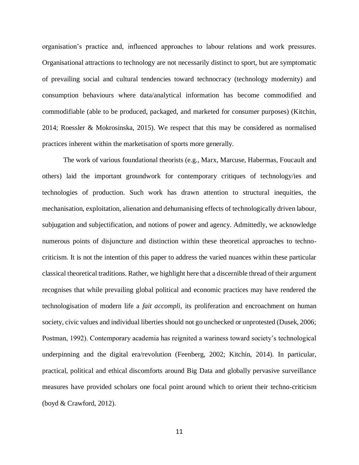organisation's practice and, influenced approaches to labour relations and work pressures. Organisational attractions to technology are not necessarily distinct to sport, but are symptomatic of prevailing social and cultural tendencies toward technocracy (technology modernity) and consumption behaviours where data/analytical information has become commodified and commodifiable (able to be produced, packaged, and marketed for consumer purposes) (Kitchin, 2014; Roessler & Mokrosinska, 2015). We respect that this may be considered as normalised practices inherent within the marketisation of sports more generally.

The work of various foundational theorists (e.g., Marx, Marcuse, Habermas, Foucault and others) laid the important groundwork for contemporary critiques of technology/ies and technologies of production. Such work has drawn attention to structural inequities, the mechanisation, exploitation, alienation and dehumanising effects of technologically driven labour, subjugation and subjectification, and notions of power and agency. Admittedly, we acknowledge numerous points of disjuncture and distinction within these theoretical approaches to technocriticism. It is not the intention of this paper to address the varied nuances within these particular classical theoretical traditions. Rather, we highlight here that a discernible thread of their argument recognises that while prevailing global political and economic practices may have rendered the technologisation of modern life a *fait accompli,* its proliferation and encroachment on human society, civic values and individual liberties should not go unchecked or unprotested (Dusek, 2006; Postman, 1992). Contemporary academia has reignited a wariness toward society's technological underpinning and the digital era/revolution (Feenberg, 2002; Kitchin, 2014). In particular, practical, political and ethical discomforts around Big Data and globally pervasive surveillance measures have provided scholars one focal point around which to orient their techno-criticism (boyd & Crawford, 2012).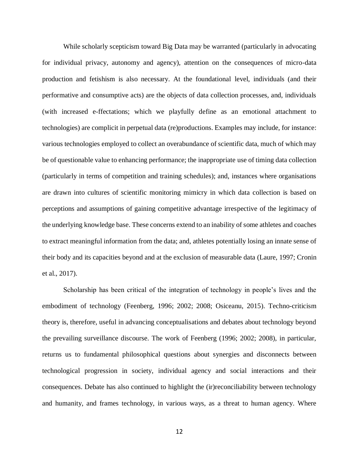While scholarly scepticism toward Big Data may be warranted (particularly in advocating for individual privacy, autonomy and agency), attention on the consequences of micro-data production and fetishism is also necessary. At the foundational level, individuals (and their performative and consumptive acts) are the objects of data collection processes, and, individuals (with increased e-ffectations; which we playfully define as an emotional attachment to technologies) are complicit in perpetual data (re)productions. Examples may include, for instance: various technologies employed to collect an overabundance of scientific data, much of which may be of questionable value to enhancing performance; the inappropriate use of timing data collection (particularly in terms of competition and training schedules); and, instances where organisations are drawn into cultures of scientific monitoring mimicry in which data collection is based on perceptions and assumptions of gaining competitive advantage irrespective of the legitimacy of the underlying knowledge base. These concerns extend to an inability of some athletes and coaches to extract meaningful information from the data; and, athletes potentially losing an innate sense of their body and its capacities beyond and at the exclusion of measurable data (Laure, 1997; Cronin et al., 2017).

Scholarship has been critical of the integration of technology in people's lives and the embodiment of technology (Feenberg, 1996; 2002; 2008; Osiceanu, 2015). Techno-criticism theory is, therefore, useful in advancing conceptualisations and debates about technology beyond the prevailing surveillance discourse. The work of Feenberg (1996; 2002; 2008), in particular, returns us to fundamental philosophical questions about synergies and disconnects between technological progression in society, individual agency and social interactions and their consequences. Debate has also continued to highlight the (ir)reconciliability between technology and humanity, and frames technology, in various ways, as a threat to human agency. Where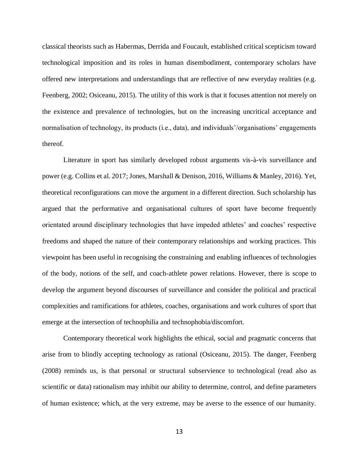classical theorists such as Habermas, Derrida and Foucault, established critical scepticism toward technological imposition and its roles in human disembodiment, contemporary scholars have offered new interpretations and understandings that are reflective of new everyday realities (e.g. Feenberg, 2002; Osiceanu, 2015). The utility of this work is that it focuses attention not merely on the existence and prevalence of technologies, but on the increasing uncritical acceptance and normalisation of technology, its products (i.e., data), and individuals'/organisations' engagements thereof.

Literature in sport has similarly developed robust arguments vis-à-vis surveillance and power (e.g. Collins et al. 2017; Jones, Marshall & Denison, 2016, Williams & Manley, 2016). Yet, theoretical reconfigurations can move the argument in a different direction. Such scholarship has argued that the performative and organisational cultures of sport have become frequently orientated around disciplinary technologies that have impeded athletes' and coaches' respective freedoms and shaped the nature of their contemporary relationships and working practices. This viewpoint has been useful in recognising the constraining and enabling influences of technologies of the body, notions of the self, and coach-athlete power relations. However, there is scope to develop the argument beyond discourses of surveillance and consider the political and practical complexities and ramifications for athletes, coaches, organisations and work cultures of sport that emerge at the intersection of technophilia and technophobia/discomfort.

Contemporary theoretical work highlights the ethical, social and pragmatic concerns that arise from to blindly accepting technology as rational (Osiceanu, 2015). The danger, Feenberg (2008) reminds us, is that personal or structural subservience to technological (read also as scientific or data) rationalism may inhibit our ability to determine, control, and define parameters of human existence; which, at the very extreme, may be averse to the essence of our humanity.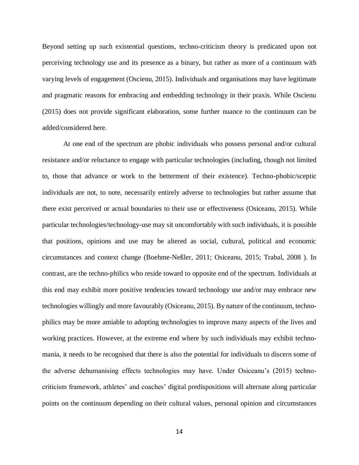Beyond setting up such existential questions, techno-criticism theory is predicated upon not perceiving technology use and its presence as a binary, but rather as more of a continuum with varying levels of engagement (Oscienu, 2015). Individuals and organisations may have legitimate and pragmatic reasons for embracing and embedding technology in their praxis. While Oscienu (2015) does not provide significant elaboration, some further nuance to the continuum can be added/considered here.

At one end of the spectrum are phobic individuals who possess personal and/or cultural resistance and/or reluctance to engage with particular technologies (including, though not limited to, those that advance or work to the betterment of their existence). Techno-phobic/sceptic individuals are not, to note, necessarily entirely adverse to technologies but rather assume that there exist perceived or actual boundaries to their use or effectiveness (Osiceanu, 2015). While particular technologies/technology-use may sit uncomfortably with such individuals, it is possible that positions, opinions and use may be altered as social, cultural, political and economic circumstances and context change (Boehme-Neßler, 2011; Osiceanu, 2015; Trabal, 2008 ). In contrast, are the techno-philics who reside toward to opposite end of the spectrum. Individuals at this end may exhibit more positive tendencies toward technology use and/or may embrace new technologies willingly and more favourably (Osiceanu, 2015). By nature of the continuum, technophilics may be more amiable to adopting technologies to improve many aspects of the lives and working practices. However, at the extreme end where by such individuals may exhibit technomania, it needs to be recognised that there is also the potential for individuals to discern some of the adverse dehumanising effects technologies may have. Under Osiceanu's (2015) technocriticism framework, athletes' and coaches' digital predispositions will alternate along particular points on the continuum depending on their cultural values, personal opinion and circumstances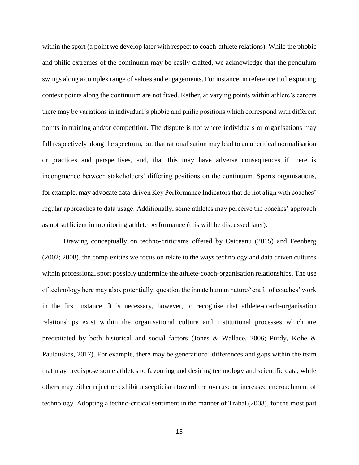within the sport (a point we develop later with respect to coach-athlete relations). While the phobic and philic extremes of the continuum may be easily crafted, we acknowledge that the pendulum swings along a complex range of values and engagements. For instance, in reference to the sporting context points along the continuum are not fixed. Rather, at varying points within athlete's careers there may be variations in individual's phobic and philic positions which correspond with different points in training and/or competition. The dispute is not where individuals or organisations may fall respectively along the spectrum, but that rationalisation may lead to an uncritical normalisation or practices and perspectives, and, that this may have adverse consequences if there is incongruence between stakeholders' differing positions on the continuum. Sports organisations, for example, may advocate data-driven Key Performance Indicators that do not align with coaches' regular approaches to data usage. Additionally, some athletes may perceive the coaches' approach as not sufficient in monitoring athlete performance (this will be discussed later).

Drawing conceptually on techno-criticisms offered by Osiceanu (2015) and Feenberg (2002; 2008), the complexities we focus on relate to the ways technology and data driven cultures within professional sport possibly undermine the athlete-coach-organisation relationships. The use of technology here may also, potentially, question the innate human nature/'craft' of coaches' work in the first instance. It is necessary, however, to recognise that athlete-coach-organisation relationships exist within the organisational culture and institutional processes which are precipitated by both historical and social factors (Jones & Wallace, 2006; Purdy, Kohe & Paulauskas, 2017). For example, there may be generational differences and gaps within the team that may predispose some athletes to favouring and desiring technology and scientific data, while others may either reject or exhibit a scepticism toward the overuse or increased encroachment of technology. Adopting a techno-critical sentiment in the manner of Trabal (2008), for the most part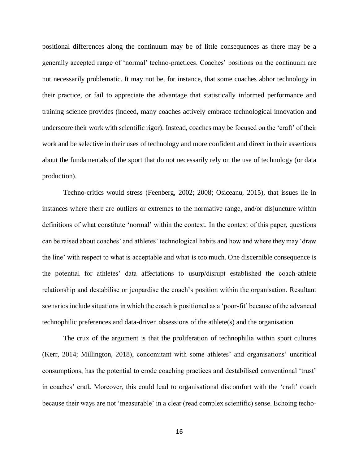positional differences along the continuum may be of little consequences as there may be a generally accepted range of 'normal' techno-practices. Coaches' positions on the continuum are not necessarily problematic. It may not be, for instance, that some coaches abhor technology in their practice, or fail to appreciate the advantage that statistically informed performance and training science provides (indeed, many coaches actively embrace technological innovation and underscore their work with scientific rigor). Instead, coaches may be focused on the 'craft' of their work and be selective in their uses of technology and more confident and direct in their assertions about the fundamentals of the sport that do not necessarily rely on the use of technology (or data production).

Techno-critics would stress (Feenberg, 2002; 2008; Osiceanu, 2015), that issues lie in instances where there are outliers or extremes to the normative range, and/or disjuncture within definitions of what constitute 'normal' within the context. In the context of this paper, questions can be raised about coaches' and athletes' technological habits and how and where they may 'draw the line' with respect to what is acceptable and what is too much. One discernible consequence is the potential for athletes' data affectations to usurp/disrupt established the coach-athlete relationship and destabilise or jeopardise the coach's position within the organisation. Resultant scenarios include situations in which the coach is positioned as a 'poor-fit' because of the advanced technophilic preferences and data-driven obsessions of the athlete(s) and the organisation.

 The crux of the argument is that the proliferation of technophilia within sport cultures (Kerr, 2014; Millington, 2018), concomitant with some athletes' and organisations' uncritical consumptions, has the potential to erode coaching practices and destabilised conventional 'trust' in coaches' craft. Moreover, this could lead to organisational discomfort with the 'craft' coach because their ways are not 'measurable' in a clear (read complex scientific) sense. Echoing techo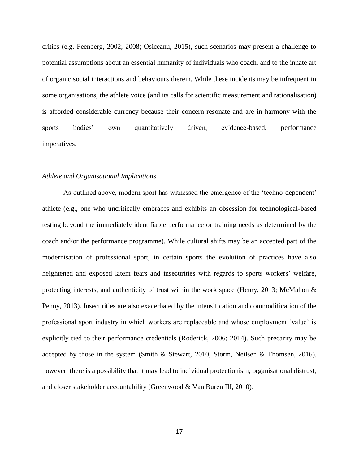critics (e.g. Feenberg, 2002; 2008; Osiceanu, 2015), such scenarios may present a challenge to potential assumptions about an essential humanity of individuals who coach, and to the innate art of organic social interactions and behaviours therein. While these incidents may be infrequent in some organisations, the athlete voice (and its calls for scientific measurement and rationalisation) is afforded considerable currency because their concern resonate and are in harmony with the sports bodies' own quantitatively driven, evidence-based, performance imperatives.

## *Athlete and Organisational Implications*

As outlined above, modern sport has witnessed the emergence of the 'techno-dependent' athlete (e.g., one who uncritically embraces and exhibits an obsession for technological-based testing beyond the immediately identifiable performance or training needs as determined by the coach and/or the performance programme). While cultural shifts may be an accepted part of the modernisation of professional sport, in certain sports the evolution of practices have also heightened and exposed latent fears and insecurities with regards to sports workers' welfare, protecting interests, and authenticity of trust within the work space (Henry, 2013; McMahon & Penny, 2013). Insecurities are also exacerbated by the intensification and commodification of the professional sport industry in which workers are replaceable and whose employment 'value' is explicitly tied to their performance credentials (Roderick, 2006; 2014). Such precarity may be accepted by those in the system (Smith & Stewart, 2010; Storm, Neilsen & Thomsen, 2016), however, there is a possibility that it may lead to individual protectionism, organisational distrust, and closer stakeholder accountability (Greenwood & Van Buren III, 2010).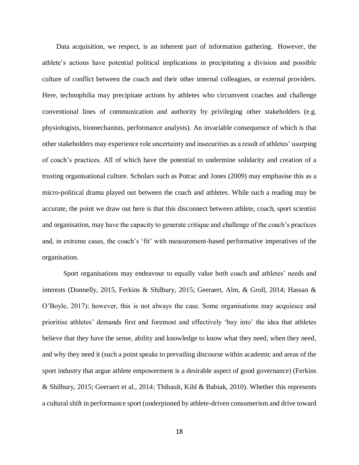Data acquisition, we respect, is an inherent part of information gathering. However, the athlete's actions have potential political implications in precipitating a division and possible culture of conflict between the coach and their other internal colleagues, or external providers. Here, technophilia may precipitate actions by athletes who circumvent coaches and challenge conventional lines of communication and authority by privileging other stakeholders (e.g. physiologists, biomechanists, performance analysts). An invariable consequence of which is that other stakeholders may experience role uncertainty and insecurities as a result of athletes' usurping of coach's practices. All of which have the potential to undermine solidarity and creation of a trusting organisational culture. Scholars such as Potrac and Jones (2009) may emphasise this as a micro-political drama played out between the coach and athletes. While such a reading may be accurate, the point we draw out here is that this disconnect between athlete, coach, sport scientist and organisation, may have the capacity to generate critique and challenge of the coach's practices and, in extreme cases, the coach's 'fit' with measurement-based performative imperatives of the organisation.

 Sport organisations may endeavour to equally value both coach and athletes' needs and interests (Donnelly, 2015, Ferkins & Shilbury, 2015; Geeraert, Alm, & Groll, 2014; Hassan & O'Boyle, 2017); however, this is not always the case. Some organisations may acquiesce and prioritise athletes' demands first and foremost and effectively 'buy into' the idea that athletes believe that they have the sense, ability and knowledge to know what they need, when they need, and why they need it (such a point speaks to prevailing discourse within academic and areas of the sport industry that argue athlete empowerment is a desirable aspect of good governance) (Ferkins & Shilbury, 2015; Geeraert et al., 2014; Thibault, Kihl & Babiak, 2010). Whether this represents a cultural shift in performance sport (underpinned by athlete-driven consumerism and drive toward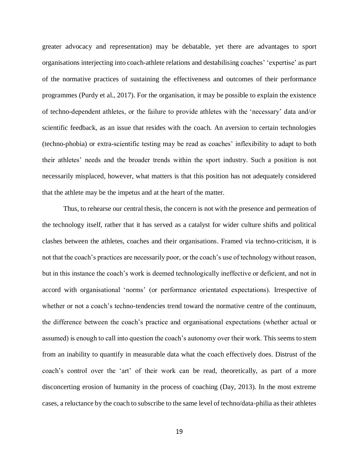greater advocacy and representation) may be debatable, yet there are advantages to sport organisations interjecting into coach-athlete relations and destabilising coaches' 'expertise' as part of the normative practices of sustaining the effectiveness and outcomes of their performance programmes (Purdy et al., 2017). For the organisation, it may be possible to explain the existence of techno-dependent athletes, or the failure to provide athletes with the 'necessary' data and/or scientific feedback, as an issue that resides with the coach. An aversion to certain technologies (techno-phobia) or extra-scientific testing may be read as coaches' inflexibility to adapt to both their athletes' needs and the broader trends within the sport industry. Such a position is not necessarily misplaced, however, what matters is that this position has not adequately considered that the athlete may be the impetus and at the heart of the matter.

Thus, to rehearse our central thesis, the concern is not with the presence and permeation of the technology itself, rather that it has served as a catalyst for wider culture shifts and political clashes between the athletes, coaches and their organisations. Framed via techno-criticism, it is not that the coach's practices are necessarily poor, or the coach's use of technology without reason, but in this instance the coach's work is deemed technologically ineffective or deficient, and not in accord with organisational 'norms' (or performance orientated expectations). Irrespective of whether or not a coach's techno-tendencies trend toward the normative centre of the continuum, the difference between the coach's practice and organisational expectations (whether actual or assumed) is enough to call into question the coach's autonomy over their work. This seems to stem from an inability to quantify in measurable data what the coach effectively does. Distrust of the coach's control over the 'art' of their work can be read, theoretically, as part of a more disconcerting erosion of humanity in the process of coaching (Day, 2013). In the most extreme cases, a reluctance by the coach to subscribe to the same level of techno/data-philia as their athletes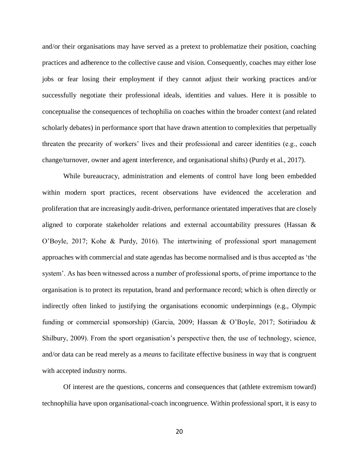and/or their organisations may have served as a pretext to problematize their position, coaching practices and adherence to the collective cause and vision. Consequently, coaches may either lose jobs or fear losing their employment if they cannot adjust their working practices and/or successfully negotiate their professional ideals, identities and values. Here it is possible to conceptualise the consequences of techophilia on coaches within the broader context (and related scholarly debates) in performance sport that have drawn attention to complexities that perpetually threaten the precarity of workers' lives and their professional and career identities (e.g., coach change/turnover, owner and agent interference, and organisational shifts) (Purdy et al., 2017).

While bureaucracy, administration and elements of control have long been embedded within modern sport practices, recent observations have evidenced the acceleration and proliferation that are increasingly audit-driven, performance orientated imperatives that are closely aligned to corporate stakeholder relations and external accountability pressures (Hassan & O'Boyle, 2017; Kohe & Purdy, 2016). The intertwining of professional sport management approaches with commercial and state agendas has become normalised and is thus accepted as 'the system'. As has been witnessed across a number of professional sports, of prime importance to the organisation is to protect its reputation, brand and performance record; which is often directly or indirectly often linked to justifying the organisations economic underpinnings (e.g., Olympic funding or commercial sponsorship) (Garcia, 2009; Hassan & O'Boyle, 2017; Sotiriadou & Shilbury, 2009). From the sport organisation's perspective then, the use of technology, science, and/or data can be read merely as a *means* to facilitate effective business in way that is congruent with accepted industry norms.

Of interest are the questions, concerns and consequences that (athlete extremism toward) technophilia have upon organisational-coach incongruence. Within professional sport, it is easy to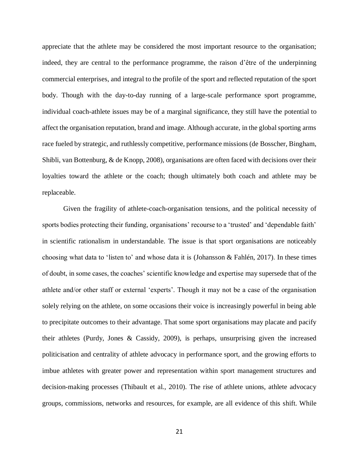appreciate that the athlete may be considered the most important resource to the organisation; indeed, they are central to the performance programme, the raison d'être of the underpinning commercial enterprises, and integral to the profile of the sport and reflected reputation of the sport body. Though with the day-to-day running of a large-scale performance sport programme, individual coach-athlete issues may be of a marginal significance, they still have the potential to affect the organisation reputation, brand and image. Although accurate, in the global sporting arms race fueled by strategic, and ruthlessly competitive, performance missions (de Bosscher, Bingham, Shibli, van Bottenburg, & de Knopp, 2008), organisations are often faced with decisions over their loyalties toward the athlete or the coach; though ultimately both coach and athlete may be replaceable.

Given the fragility of athlete-coach-organisation tensions, and the political necessity of sports bodies protecting their funding, organisations' recourse to a 'trusted' and 'dependable faith' in scientific rationalism in understandable. The issue is that sport organisations are noticeably choosing what data to 'listen to' and whose data it is (Johansson & [Fahlén,](http://journals.sagepub.com/author/Fahl%C3%A9n%2C+Josef) 2017). In these times of doubt, in some cases, the coaches' scientific knowledge and expertise may supersede that of the athlete and/or other staff or external 'experts'. Though it may not be a case of the organisation solely relying on the athlete, on some occasions their voice is increasingly powerful in being able to precipitate outcomes to their advantage. That some sport organisations may placate and pacify their athletes (Purdy, Jones & Cassidy, 2009), is perhaps, unsurprising given the increased politicisation and centrality of athlete advocacy in performance sport, and the growing efforts to imbue athletes with greater power and representation within sport management structures and decision-making processes (Thibault et al., 2010). The rise of athlete unions, athlete advocacy groups, commissions, networks and resources, for example, are all evidence of this shift. While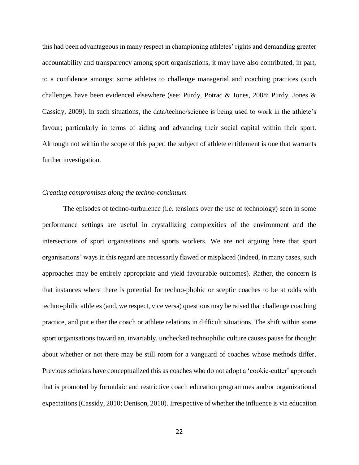this had been advantageous in many respect in championing athletes' rights and demanding greater accountability and transparency among sport organisations, it may have also contributed, in part, to a confidence amongst some athletes to challenge managerial and coaching practices (such challenges have been evidenced elsewhere (see: Purdy, Potrac & Jones, 2008; Purdy, Jones & Cassidy, 2009). In such situations, the data/techno/science is being used to work in the athlete's favour; particularly in terms of aiding and advancing their social capital within their sport. Although not within the scope of this paper, the subject of athlete entitlement is one that warrants further investigation.

### *Creating compromises along the techno-continuum*

The episodes of techno-turbulence (i.e. tensions over the use of technology) seen in some performance settings are useful in crystallizing complexities of the environment and the intersections of sport organisations and sports workers. We are not arguing here that sport organisations' ways in this regard are necessarily flawed or misplaced (indeed, in many cases, such approaches may be entirely appropriate and yield favourable outcomes). Rather, the concern is that instances where there is potential for techno-phobic or sceptic coaches to be at odds with techno-philic athletes (and, we respect, vice versa) questions may be raised that challenge coaching practice, and put either the coach or athlete relations in difficult situations. The shift within some sport organisations toward an, invariably, unchecked technophilic culture causes pause for thought about whether or not there may be still room for a vanguard of coaches whose methods differ. Previous scholars have conceptualized this as coaches who do not adopt a 'cookie-cutter' approach that is promoted by formulaic and restrictive coach education programmes and/or organizational expectations (Cassidy, 2010; Denison, 2010). Irrespective of whether the influence is via education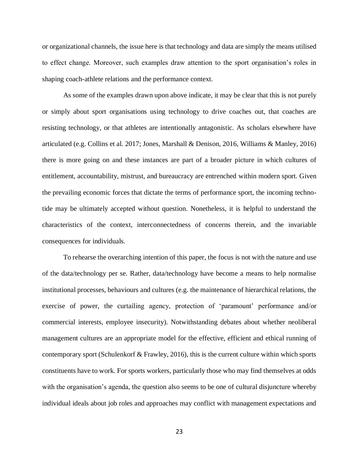or organizational channels, the issue here is that technology and data are simply the means utilised to effect change. Moreover, such examples draw attention to the sport organisation's roles in shaping coach-athlete relations and the performance context.

As some of the examples drawn upon above indicate, it may be clear that this is not purely or simply about sport organisations using technology to drive coaches out, that coaches are resisting technology, or that athletes are intentionally antagonistic. As scholars elsewhere have articulated (e.g. Collins et al. 2017; Jones, Marshall & Denison, 2016, Williams & Manley, 2016) there is more going on and these instances are part of a broader picture in which cultures of entitlement, accountability, mistrust, and bureaucracy are entrenched within modern sport. Given the prevailing economic forces that dictate the terms of performance sport, the incoming technotide may be ultimately accepted without question. Nonetheless, it is helpful to understand the characteristics of the context, interconnectedness of concerns therein, and the invariable consequences for individuals.

To rehearse the overarching intention of this paper, the focus is not with the nature and use of the data/technology per se. Rather, data/technology have become a means to help normalise institutional processes, behaviours and cultures (e.g. the maintenance of hierarchical relations, the exercise of power, the curtailing agency, protection of 'paramount' performance and/or commercial interests, employee insecurity). Notwithstanding debates about whether neoliberal management cultures are an appropriate model for the effective, efficient and ethical running of contemporary sport (Schulenkorf & Frawley, 2016), this is the current culture within which sports constituents have to work. For sports workers, particularly those who may find themselves at odds with the organisation's agenda, the question also seems to be one of cultural disjuncture whereby individual ideals about job roles and approaches may conflict with management expectations and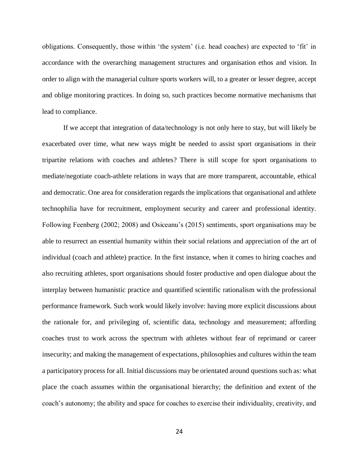obligations. Consequently, those within 'the system' (i.e. head coaches) are expected to 'fit' in accordance with the overarching management structures and organisation ethos and vision. In order to align with the managerial culture sports workers will, to a greater or lesser degree, accept and oblige monitoring practices. In doing so, such practices become normative mechanisms that lead to compliance.

If we accept that integration of data/technology is not only here to stay, but will likely be exacerbated over time, what new ways might be needed to assist sport organisations in their tripartite relations with coaches and athletes? There is still scope for sport organisations to mediate/negotiate coach-athlete relations in ways that are more transparent, accountable, ethical and democratic. One area for consideration regards the implications that organisational and athlete technophilia have for recruitment, employment security and career and professional identity. Following Feenberg (2002; 2008) and Osiceanu's (2015) sentiments, sport organisations may be able to resurrect an essential humanity within their social relations and appreciation of the art of individual (coach and athlete) practice. In the first instance, when it comes to hiring coaches and also recruiting athletes, sport organisations should foster productive and open dialogue about the interplay between humanistic practice and quantified scientific rationalism with the professional performance framework. Such work would likely involve: having more explicit discussions about the rationale for, and privileging of, scientific data, technology and measurement; affording coaches trust to work across the spectrum with athletes without fear of reprimand or career insecurity; and making the management of expectations, philosophies and cultures within the team a participatory process for all. Initial discussions may be orientated around questions such as: what place the coach assumes within the organisational hierarchy; the definition and extent of the coach's autonomy; the ability and space for coaches to exercise their individuality, creativity, and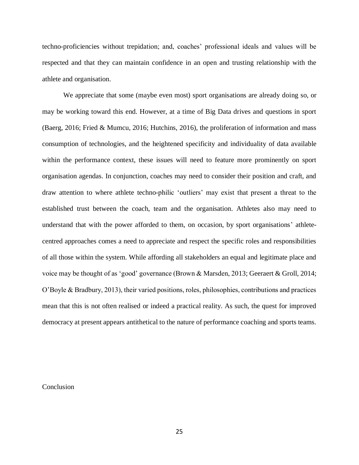techno-proficiencies without trepidation; and, coaches' professional ideals and values will be respected and that they can maintain confidence in an open and trusting relationship with the athlete and organisation.

We appreciate that some (maybe even most) sport organisations are already doing so, or may be working toward this end. However, at a time of Big Data drives and questions in sport (Baerg, 2016; Fried & Mumcu, 2016; Hutchins, 2016), the proliferation of information and mass consumption of technologies, and the heightened specificity and individuality of data available within the performance context, these issues will need to feature more prominently on sport organisation agendas. In conjunction, coaches may need to consider their position and craft, and draw attention to where athlete techno-philic 'outliers' may exist that present a threat to the established trust between the coach, team and the organisation. Athletes also may need to understand that with the power afforded to them, on occasion, by sport organisations' athletecentred approaches comes a need to appreciate and respect the specific roles and responsibilities of all those within the system. While affording all stakeholders an equal and legitimate place and voice may be thought of as 'good' governance (Brown & Marsden, 2013; Geeraert & Groll, 2014; O'Boyle & Bradbury, 2013), their varied positions, roles, philosophies, contributions and practices mean that this is not often realised or indeed a practical reality. As such, the quest for improved democracy at present appears antithetical to the nature of performance coaching and sports teams.

#### Conclusion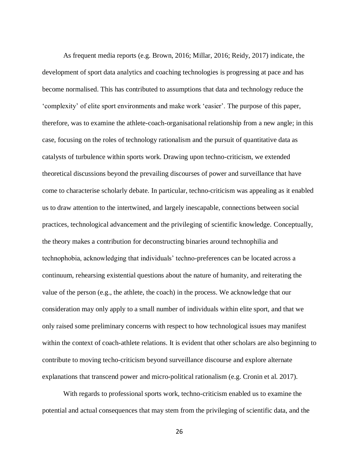As frequent media reports (e.g. Brown, 2016; Millar, 2016; Reidy, 2017) indicate, the development of sport data analytics and coaching technologies is progressing at pace and has become normalised. This has contributed to assumptions that data and technology reduce the 'complexity' of elite sport environments and make work 'easier'. The purpose of this paper, therefore, was to examine the athlete-coach-organisational relationship from a new angle; in this case, focusing on the roles of technology rationalism and the pursuit of quantitative data as catalysts of turbulence within sports work. Drawing upon techno-criticism, we extended theoretical discussions beyond the prevailing discourses of power and surveillance that have come to characterise scholarly debate. In particular, techno-criticism was appealing as it enabled us to draw attention to the intertwined, and largely inescapable, connections between social practices, technological advancement and the privileging of scientific knowledge. Conceptually, the theory makes a contribution for deconstructing binaries around technophilia and technophobia, acknowledging that individuals' techno-preferences can be located across a continuum, rehearsing existential questions about the nature of humanity, and reiterating the value of the person (e.g., the athlete, the coach) in the process. We acknowledge that our consideration may only apply to a small number of individuals within elite sport, and that we only raised some preliminary concerns with respect to how technological issues may manifest within the context of coach-athlete relations. It is evident that other scholars are also beginning to contribute to moving techo-criticism beyond surveillance discourse and explore alternate explanations that transcend power and micro-political rationalism (e.g. Cronin et al. 2017).

With regards to professional sports work, techno-criticism enabled us to examine the potential and actual consequences that may stem from the privileging of scientific data, and the

26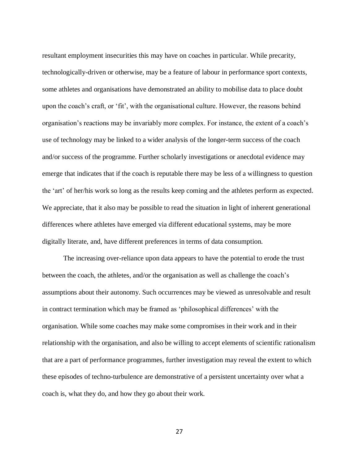resultant employment insecurities this may have on coaches in particular. While precarity, technologically-driven or otherwise, may be a feature of labour in performance sport contexts, some athletes and organisations have demonstrated an ability to mobilise data to place doubt upon the coach's craft, or 'fit', with the organisational culture. However, the reasons behind organisation's reactions may be invariably more complex. For instance, the extent of a coach's use of technology may be linked to a wider analysis of the longer-term success of the coach and/or success of the programme. Further scholarly investigations or anecdotal evidence may emerge that indicates that if the coach is reputable there may be less of a willingness to question the 'art' of her/his work so long as the results keep coming and the athletes perform as expected. We appreciate, that it also may be possible to read the situation in light of inherent generational differences where athletes have emerged via different educational systems, may be more digitally literate, and, have different preferences in terms of data consumption.

The increasing over-reliance upon data appears to have the potential to erode the trust between the coach, the athletes, and/or the organisation as well as challenge the coach's assumptions about their autonomy. Such occurrences may be viewed as unresolvable and result in contract termination which may be framed as 'philosophical differences' with the organisation. While some coaches may make some compromises in their work and in their relationship with the organisation, and also be willing to accept elements of scientific rationalism that are a part of performance programmes, further investigation may reveal the extent to which these episodes of techno-turbulence are demonstrative of a persistent uncertainty over what a coach is, what they do, and how they go about their work.

27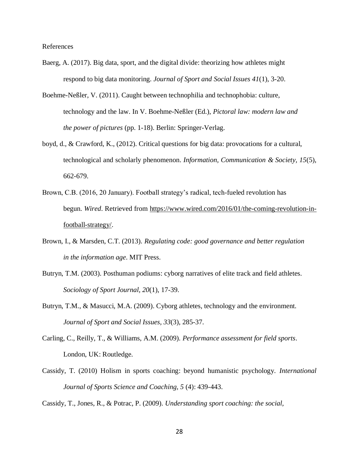References

- Baerg, A. (2017). Big data, sport, and the digital divide: theorizing how athletes might respond to big data monitoring. *Journal of Sport and Social Issues 41*(1), 3-20.
- Boehme-Neßler, V. (2011). Caught between technophilia and technophobia: culture, technology and the law. In V. Boehme-Neßler (Ed.), *Pictoral law: modern law and the power of pictures* (pp. 1-18). Berlin: Springer-Verlag.
- boyd, d., & Crawford, K., (2012). Critical questions for big data: provocations for a cultural, technological and scholarly phenomenon. *Information, Communication & Society, 15*(5), 662-679.
- Brown, C.B. (2016, 20 January). Football strategy's radical, tech-fueled revolution has begun. *Wired*. Retrieved from [https://www.wired.com/2016/01/the-coming-revolution-in](https://www.wired.com/2016/01/the-coming-revolution-in-football-strategy/)[football-strategy/.](https://www.wired.com/2016/01/the-coming-revolution-in-football-strategy/)
- Brown, I., & Marsden, C.T. (2013). *Regulating code: good governance and better regulation in the information age*. MIT Press.
- Butryn, T.M. (2003). Posthuman podiums: cyborg narratives of elite track and field athletes. *Sociology of Sport Journal, 20*(1), 17-39.
- Butryn, T.M., & Masucci, M.A. (2009). Cyborg athletes, technology and the environment. *Journal of Sport and Social Issues, 33*(3), 285-37.
- Carling, C., Reilly, T., & Williams, A.M. (2009). *Performance assessment for field sports*. London, UK: Routledge.
- Cassidy, T. (2010) Holism in sports coaching: beyond humanistic psychology. *International Journal of Sports Science and Coaching, 5* (4): 439-443.

Cassidy, T., Jones, R., & Potrac, P. (2009). *Understanding sport coaching: the social,*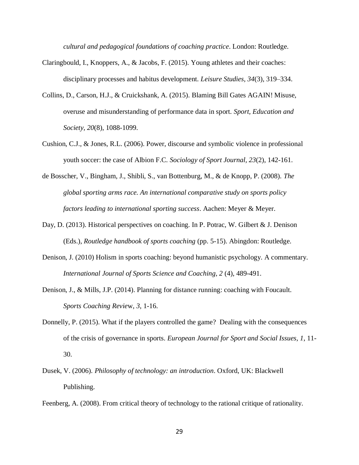*cultural and pedagogical foundations of coaching practice*. London: Routledge.

- Claringbould, I., Knoppers, A., & Jacobs, F. (2015). Young athletes and their coaches: disciplinary processes and habitus development. *Leisure Studies, 34*(3), 319–334.
- Collins, D., Carson, H.J., & Cruickshank, A. (2015). Blaming Bill Gates AGAIN! Misuse, overuse and misunderstanding of performance data in sport. *Sport, Education and Society, 20*(8), 1088-1099.
- Cushion, C.J., & Jones, R.L. (2006). Power, discourse and symbolic violence in professional youth soccer: the case of Albion F.C. *Sociology of Sport Journal, 23*(2), 142-161.
- de Bosscher, V., Bingham, J., Shibli, S., van Bottenburg, M., & de Knopp, P. (2008). *The global sporting arms race. An international comparative study on sports policy factors leading to international sporting success*. Aachen: Meyer & Meyer.
- Day, D. (2013). Historical perspectives on coaching. In P. Potrac, W. Gilbert & J. Denison (Eds.), *Routledge handbook of sports coaching* (pp. 5-15). Abingdon: Routledge.
- Denison, J. (2010) Holism in sports coaching: beyond humanistic psychology. A commentary. *International Journal of Sports Science and Coaching, 2* (4), 489-491.
- Denison, J., & Mills, J.P. (2014). Planning for distance running: coaching with Foucault. *Sports Coaching Revie*w, *3*, 1-16.
- Donnelly, P. (2015). What if the players controlled the game? Dealing with the consequences of the crisis of governance in sports. *European Journal for Sport and Social Issues, 1*, 11- 30.
- Dusek, V. (2006). *Philosophy of technology: an introduction*. Oxford, UK: Blackwell Publishing.

Feenberg, A. (2008). From critical theory of technology to the rational critique of rationality.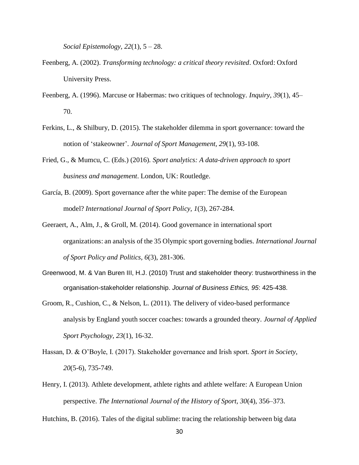*Social Epistemology, 22*(1), 5 – 28.

- Feenberg, A. (2002). *Transforming technology: a critical theory revisited*. Oxford: Oxford University Press.
- Feenberg, A. (1996). Marcuse or Habermas: two critiques of technology. *Inquiry*, *39*(1), 45– 70.
- Ferkins, L., & Shilbury, D. (2015). The stakeholder dilemma in sport governance: toward the notion of 'stakeowner'. *Journal of Sport Management, 29*(1), 93-108.
- Fried, G., & Mumcu, C. (Eds.) (2016)*. Sport analytics: A data-driven approach to sport business and management*. London, UK: Routledge.
- García, B. (2009). Sport governance after the white paper: The demise of the European model? *International Journal of Sport Policy, 1*(3), 267-284.
- Geeraert, A., Alm, J., & Groll, M. (2014). Good governance in international sport organizations: an analysis of the 35 Olympic sport governing bodies. *International Journal of Sport Policy and Politics, 6*(3), 281-306.
- Greenwood, M. & Van Buren III, H.J. (2010) Trust and stakeholder theory: trustworthiness in the organisation-stakeholder relationship. *Journal of Business Ethics, 95*: 425-438.
- Groom, R., Cushion, C., & Nelson, L. (2011). The delivery of video-based performance analysis by England youth soccer coaches: towards a grounded theory. *Journal of Applied Sport Psychology, 23*(1), 16-32.
- Hassan, D. & O'Boyle, I. (2017). Stakeholder governance and Irish sport. *Sport in Society*, *20*(5-6), 735-749.
- Henry, I. (2013). Athlete development, athlete rights and athlete welfare: A European Union perspective. *The International Journal of the History of Sport, 30*(4), 356–373.

Hutchins, B. (2016). Tales of the digital sublime: tracing the relationship between big data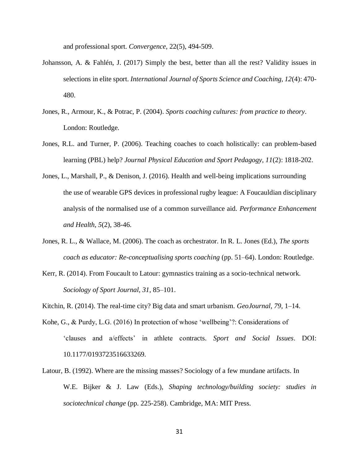and professional sport. *Convergence*, 22(5), 494-509.

- Johansson, A. & [Fahlén,](http://journals.sagepub.com/author/Fahl%C3%A9n%2C+Josef) J. (2017) Simply the best, better than all the rest? Validity issues in selections in elite sport. *International Journal of Sports Science and Coaching, 12*(4): 470- 480.
- Jones, R., Armour, K., & Potrac, P. (2004). *Sports coaching cultures: from practice to theory*. London: Routledge.
- Jones, R.L. and Turner, P. (2006). Teaching coaches to coach holistically: can problem-based learning (PBL) help? *Journal Physical Education and Sport Pedagogy, 11*(2): 1818-202.
- Jones, L., Marshall, P., & Denison, J. (2016). Health and well-being implications surrounding the use of wearable GPS devices in professional rugby league: A Foucauldian disciplinary analysis of the normalised use of a common surveillance aid. *Performance Enhancement and Health, 5*(2), 38-46.
- Jones, R. L., & Wallace, M. (2006). The coach as orchestrator. In R. L. Jones (Ed.), *The sports coach as educator: Re-conceptualising sports coaching* (pp. 51–64). London: Routledge.
- Kerr, R. (2014). From Foucault to Latour: gymnastics training as a socio-technical network. *Sociology of Sport Journal, 31*, 85–101.
- Kitchin, R. (2014). The real-time city? Big data and smart urbanism. *GeoJournal, 79*, 1–14.
- Kohe, G., & Purdy, L.G. (2016) In protection of whose 'wellbeing'?: Considerations of 'clauses and a/effects' in athlete contracts. *Sport and Social Issues*. DOI: 10.1177/0193723516633269.
- Latour, B. (1992). Where are the missing masses? Sociology of a few mundane artifacts. In W.E. Bijker & J. Law (Eds.), *Shaping technology/building society: studies in sociotechnical change* (pp. 225-258). Cambridge, MA: MIT Press.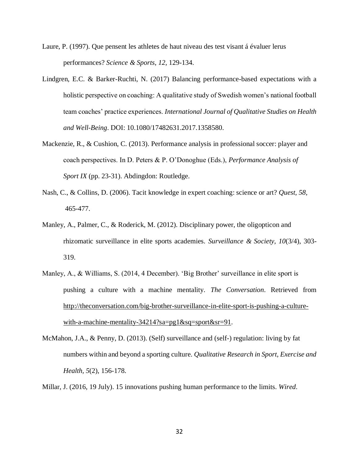- Laure, P. (1997). Que pensent les athletes de haut niveau des test visant á évaluer lerus performances? *Science & Sports*, *12*, 129-134.
- Lindgren, E.C. & Barker-Ruchti, N. (2017) Balancing performance-based expectations with a holistic perspective on coaching: A qualitative study of Swedish women's national football team coaches' practice experiences. *International Journal of Qualitative Studies on Health and Well-Being*. DOI: 10.1080/17482631.2017.1358580.
- Mackenzie, R., & Cushion, C. (2013). Performance analysis in professional soccer: player and coach perspectives. In D. Peters & P. O'Donoghue (Eds.), *Performance Analysis of Sport IX* (pp. 23-31). Abdingdon: Routledge.
- Nash, C., & Collins, D. (2006). Tacit knowledge in expert coaching: science or art? *Quest, 58*, 465-477.
- Manley, A., Palmer, C., & Roderick, M. (2012). Disciplinary power, the oligopticon and rhizomatic surveillance in elite sports academies. *Surveillance & Society, 10*(3/4), 303- 319.
- Manley, A., & Williams, S. (2014, 4 December). 'Big Brother' surveillance in elite sport is pushing a culture with a machine mentality. *The Conversation*. Retrieved from [http://theconversation.com/big-brother-surveillance-in-elite-sport-is-pushing-a-culture](http://theconversation.com/big-brother-surveillance-in-elite-sport-is-pushing-a-culture-with-a-machine-mentality-34214?sa=pg1&sq=sport&sr=91)[with-a-machine-mentality-34214?sa=pg1&sq=sport&sr=91.](http://theconversation.com/big-brother-surveillance-in-elite-sport-is-pushing-a-culture-with-a-machine-mentality-34214?sa=pg1&sq=sport&sr=91)
- McMahon, J.A., & Penny, D. (2013). (Self) surveillance and (self-) regulation: living by fat numbers within and beyond a sporting culture. *Qualitative Research in Sport, Exercise and Health, 5*(2), 156-178.
- Millar, J. (2016, 19 July). 15 innovations pushing human performance to the limits. *Wired*.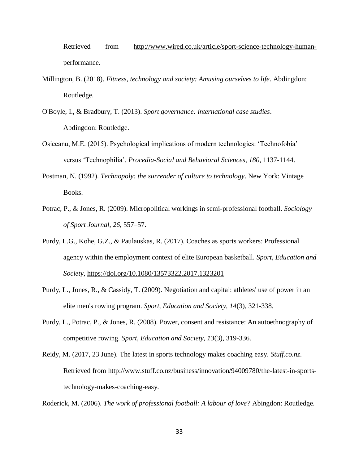Retrieved from [http://www.wired.co.uk/article/sport-science-technology-human](http://www.wired.co.uk/article/sport-science-technology-human-performance)[performance.](http://www.wired.co.uk/article/sport-science-technology-human-performance)

- Millington, B. (2018). *Fitness, technology and society: Amusing ourselves to life*. Abdingdon: Routledge.
- O'Boyle, I., & Bradbury, T. (2013). *Sport governance: international case studies*. Abdingdon: Routledge.
- Osiceanu, M.E. (2015). Psychological implications of modern technologies: 'Technofobia' versus 'Technophilia'. *Procedia-Social and Behavioral Sciences*, *180*, 1137-1144.
- Postman, N. (1992). *Technopoly: the surrender of culture to technology*. New York: Vintage Books.
- Potrac, P., & Jones, R. (2009). Micropolitical workings in semi-professional football. *Sociology of Sport Journal, 26*, 557–57.
- Purdy, L.G., Kohe, G.Z., & Paulauskas, R. (2017). Coaches as sports workers: Professional agency within the employment context of elite European basketball. *Sport, Education and Society*,<https://doi.org/10.1080/13573322.2017.1323201>
- Purdy, L., Jones, R., & Cassidy, T. (2009). Negotiation and capital: athletes' use of power in an elite men's rowing program. *Sport, Education and Society, 14*(3), 321-338.
- Purdy, L., Potrac, P., & Jones, R. (2008). Power, consent and resistance: An autoethnography of competitive rowing. *Sport, Education and Society*, *13*(3), 319-336.
- Reidy, M. (2017, 23 June). The latest in sports technology makes coaching easy. *Stuff.co.nz*. Retrieved from [http://www.stuff.co.nz/business/innovation/94009780/the-latest-in-sports](http://www.stuff.co.nz/business/innovation/94009780/the-latest-in-sports-technology-makes-coaching-easy)[technology-makes-coaching-easy.](http://www.stuff.co.nz/business/innovation/94009780/the-latest-in-sports-technology-makes-coaching-easy)

Roderick, M. (2006). *The work of professional football: A labour of love?* Abingdon: Routledge.